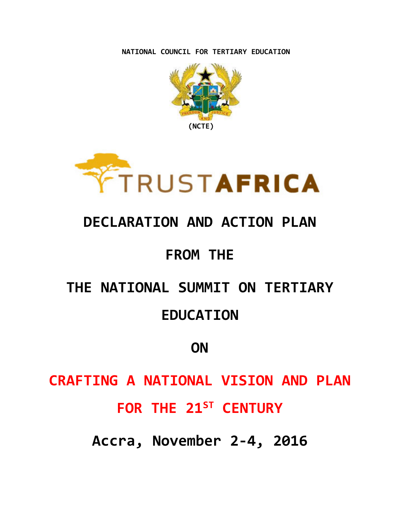**NATIONAL COUNCIL FOR TERTIARY EDUCATION**





## **DECLARATION AND ACTION PLAN**

## **FROM THE**

# **THE NATIONAL SUMMIT ON TERTIARY EDUCATION**

## **ON**

# **CRAFTING A NATIONAL VISION AND PLAN FOR THE 21ST CENTURY**

**Accra, November 2-4, 2016**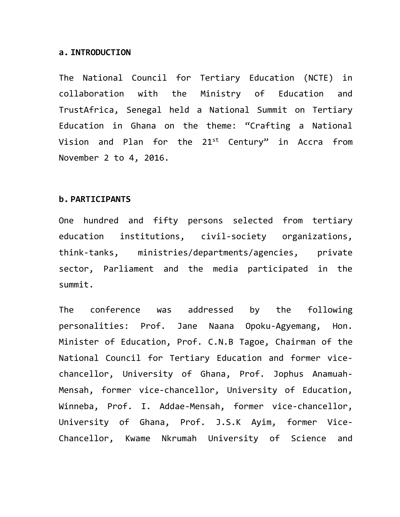#### **a. INTRODUCTION**

The National Council for Tertiary Education (NCTE) in collaboration with the Ministry of Education and TrustAfrica, Senegal held a National Summit on Tertiary Education in Ghana on the theme: "Crafting a National Vision and Plan for the 21<sup>st</sup> Century" in Accra from November 2 to 4, 2016.

#### **b. PARTICIPANTS**

One hundred and fifty persons selected from tertiary education institutions, civil-society organizations, think-tanks, ministries/departments/agencies, private sector, Parliament and the media participated in the summit.

The conference was addressed by the following personalities: Prof. Jane Naana Opoku-Agyemang, Hon. Minister of Education, Prof. C.N.B Tagoe, Chairman of the National Council for Tertiary Education and former vicechancellor, University of Ghana, Prof. Jophus Anamuah-Mensah, former vice-chancellor, University of Education, Winneba, Prof. I. Addae-Mensah, former vice-chancellor, University of Ghana, Prof. J.S.K Ayim, former Vice-Chancellor, Kwame Nkrumah University of Science and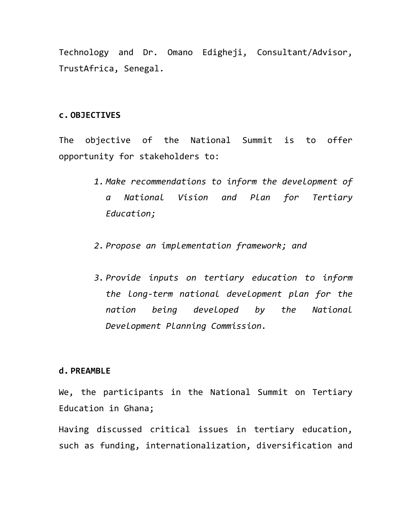Technology and Dr. Omano Edigheji, Consultant/Advisor, TrustAfrica, Senegal.

#### **c. OBJECTIVES**

The objective of the National Summit is to offer opportunity for stakeholders to:

- *1. Make recommendations to inform the development of a National Vision and Plan for Tertiary Education;*
- *2. Propose an implementation framework; and*
- *3. Provide inputs on tertiary education to inform the long-term national development plan for the nation being developed by the National Development Planning Commission.*

#### **d. PREAMBLE**

We, the participants in the National Summit on Tertiary Education in Ghana;

Having discussed critical issues in tertiary education, such as funding, internationalization, diversification and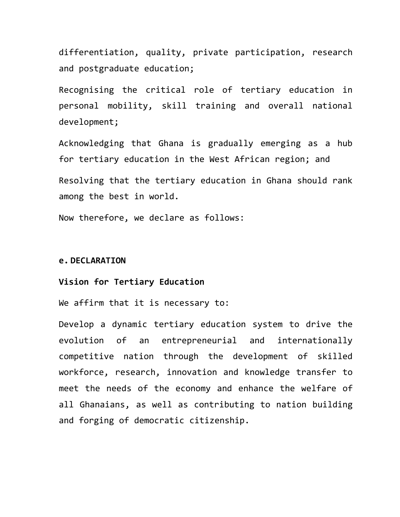differentiation, quality, private participation, research and postgraduate education;

Recognising the critical role of tertiary education in personal mobility, skill training and overall national development;

Acknowledging that Ghana is gradually emerging as a hub for tertiary education in the West African region; and Resolving that the tertiary education in Ghana should rank among the best in world.

Now therefore, we declare as follows:

#### **e. DECLARATION**

#### **Vision for Tertiary Education**

We affirm that it is necessary to:

Develop a dynamic tertiary education system to drive the evolution of an entrepreneurial and internationally competitive nation through the development of skilled workforce, research, innovation and knowledge transfer to meet the needs of the economy and enhance the welfare of all Ghanaians, as well as contributing to nation building and forging of democratic citizenship.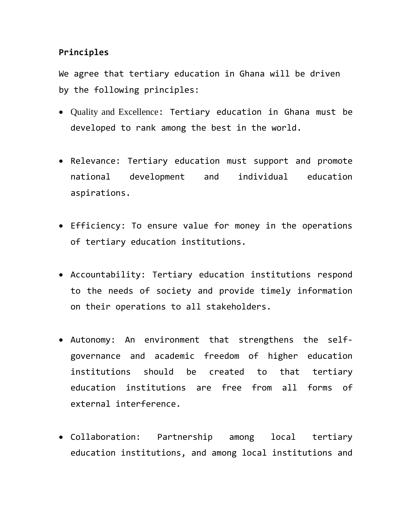### **Principles**

We agree that tertiary education in Ghana will be driven by the following principles:

- Quality and Excellence: Tertiary education in Ghana must be developed to rank among the best in the world.
- Relevance: Tertiary education must support and promote national development and individual education aspirations.
- Efficiency: To ensure value for money in the operations of tertiary education institutions.
- Accountability: Tertiary education institutions respond to the needs of society and provide timely information on their operations to all stakeholders.
- Autonomy: An environment that strengthens the selfgovernance and academic freedom of higher education institutions should be created to that tertiary education institutions are free from all forms of external interference.
- Collaboration: Partnership among local tertiary education institutions, and among local institutions and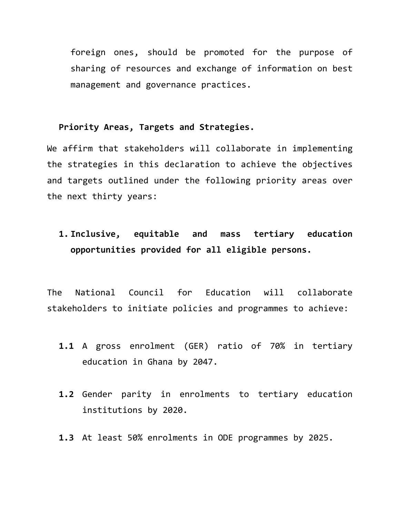foreign ones, should be promoted for the purpose of sharing of resources and exchange of information on best management and governance practices.

### **Priority Areas, Targets and Strategies.**

We affirm that stakeholders will collaborate in implementing the strategies in this declaration to achieve the objectives and targets outlined under the following priority areas over the next thirty years:

**1. Inclusive, equitable and mass tertiary education opportunities provided for all eligible persons.** 

The National Council for Education will collaborate stakeholders to initiate policies and programmes to achieve:

- **1.1** A gross enrolment (GER) ratio of 70% in tertiary education in Ghana by 2047.
- **1.2** Gender parity in enrolments to tertiary education institutions by 2020.
- **1.3** At least 50% enrolments in ODE programmes by 2025.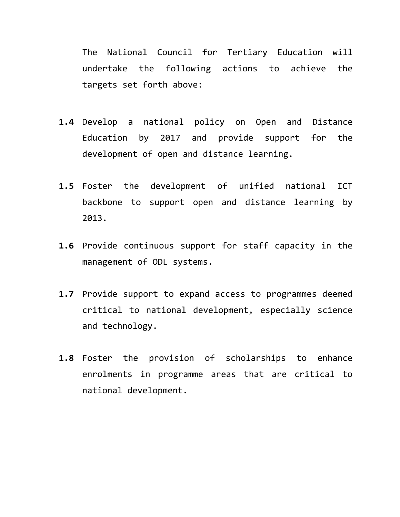The National Council for Tertiary Education will undertake the following actions to achieve the targets set forth above:

- **1.4** Develop a national policy on Open and Distance Education by 2017 and provide support for the development of open and distance learning.
- **1.5** Foster the development of unified national ICT backbone to support open and distance learning by 2013.
- **1.6** Provide continuous support for staff capacity in the management of ODL systems.
- **1.7** Provide support to expand access to programmes deemed critical to national development, especially science and technology.
- **1.8** Foster the provision of scholarships to enhance enrolments in programme areas that are critical to national development.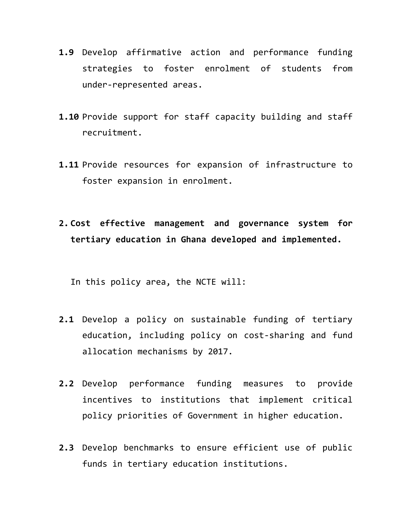- **1.9** Develop affirmative action and performance funding strategies to foster enrolment of students from under-represented areas.
- **1.10** Provide support for staff capacity building and staff recruitment.
- **1.11** Provide resources for expansion of infrastructure to foster expansion in enrolment.
- **2. Cost effective management and governance system for tertiary education in Ghana developed and implemented.**

In this policy area, the NCTE will:

- **2.1** Develop a policy on sustainable funding of tertiary education, including policy on cost-sharing and fund allocation mechanisms by 2017.
- **2.2** Develop performance funding measures to provide incentives to institutions that implement critical policy priorities of Government in higher education.
- **2.3** Develop benchmarks to ensure efficient use of public funds in tertiary education institutions.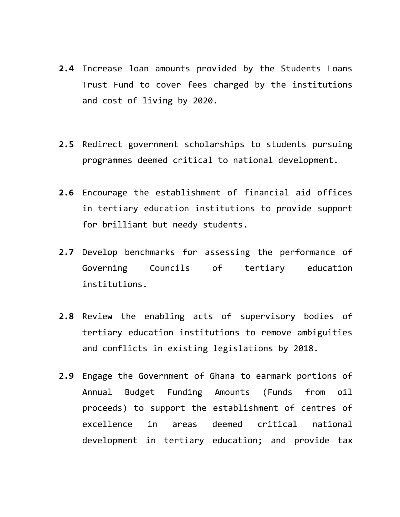- **2.4** Increase loan amounts provided by the Students Loans Trust Fund to cover fees charged by the institutions and cost of living by 2020.
- **2.5** Redirect government scholarships to students pursuing programmes deemed critical to national development.
- **2.6** Encourage the establishment of financial aid offices in tertiary education institutions to provide support for brilliant but needy students.
- **2.7** Develop benchmarks for assessing the performance of Governing Councils of tertiary education institutions.
- **2.8** Review the enabling acts of supervisory bodies of tertiary education institutions to remove ambiguities and conflicts in existing legislations by 2018.
- **2.9** Engage the Government of Ghana to earmark portions of Annual Budget Funding Amounts (Funds from oil proceeds) to support the establishment of centres of excellence in areas deemed critical national development in tertiary education; and provide tax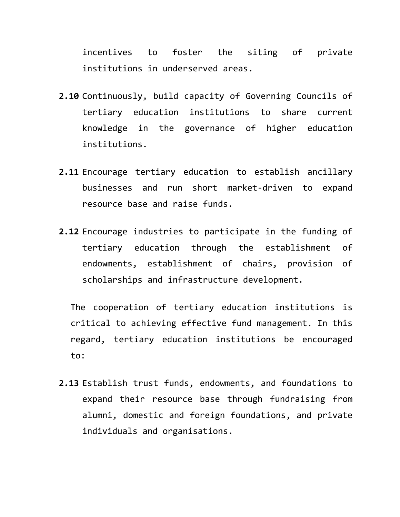incentives to foster the siting of private institutions in underserved areas.

- **2.10** Continuously, build capacity of Governing Councils of tertiary education institutions to share current knowledge in the governance of higher education institutions.
- **2.11** Encourage tertiary education to establish ancillary businesses and run short market-driven to expand resource base and raise funds.
- **2.12** Encourage industries to participate in the funding of tertiary education through the establishment of endowments, establishment of chairs, provision of scholarships and infrastructure development.

The cooperation of tertiary education institutions is critical to achieving effective fund management. In this regard, tertiary education institutions be encouraged to:

**2.13** Establish trust funds, endowments, and foundations to expand their resource base through fundraising from alumni, domestic and foreign foundations, and private individuals and organisations.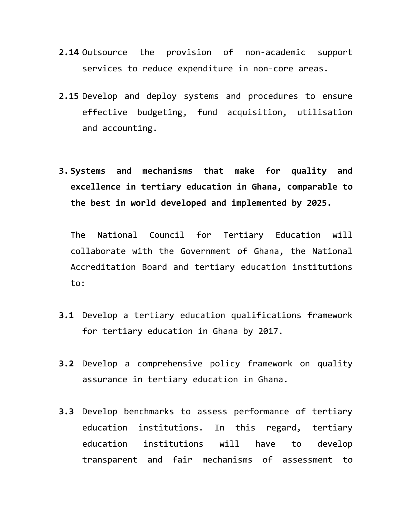- **2.14** Outsource the provision of non-academic support services to reduce expenditure in non-core areas.
- **2.15** Develop and deploy systems and procedures to ensure effective budgeting, fund acquisition, utilisation and accounting.
- **3. Systems and mechanisms that make for quality and excellence in tertiary education in Ghana, comparable to the best in world developed and implemented by 2025.**

The National Council for Tertiary Education will collaborate with the Government of Ghana, the National Accreditation Board and tertiary education institutions to:

- **3.1** Develop a tertiary education qualifications framework for tertiary education in Ghana by 2017.
- **3.2** Develop a comprehensive policy framework on quality assurance in tertiary education in Ghana.
- **3.3** Develop benchmarks to assess performance of tertiary education institutions. In this regard, tertiary education institutions will have to develop transparent and fair mechanisms of assessment to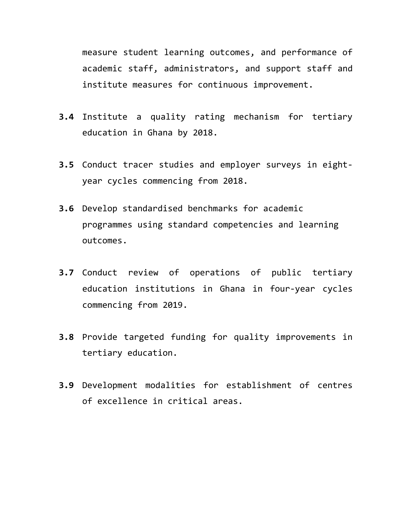measure student learning outcomes, and performance of academic staff, administrators, and support staff and institute measures for continuous improvement.

- **3.4** Institute a quality rating mechanism for tertiary education in Ghana by 2018.
- **3.5** Conduct tracer studies and employer surveys in eightyear cycles commencing from 2018.
- **3.6** Develop standardised benchmarks for academic programmes using standard competencies and learning outcomes.
- **3.7** Conduct review of operations of public tertiary education institutions in Ghana in four-year cycles commencing from 2019.
- **3.8** Provide targeted funding for quality improvements in tertiary education.
- **3.9** Development modalities for establishment of centres of excellence in critical areas.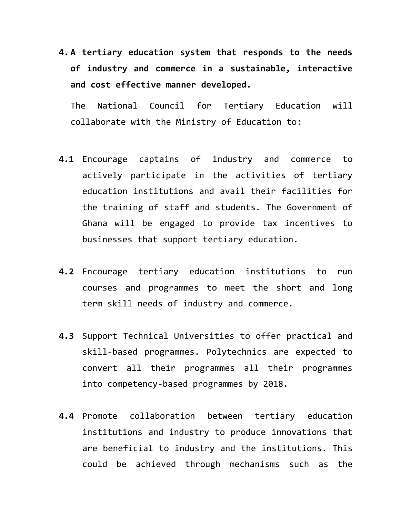**4. A tertiary education system that responds to the needs of industry and commerce in a sustainable, interactive and cost effective manner developed.**

The National Council for Tertiary Education will collaborate with the Ministry of Education to:

- **4.1** Encourage captains of industry and commerce to actively participate in the activities of tertiary education institutions and avail their facilities for the training of staff and students. The Government of Ghana will be engaged to provide tax incentives to businesses that support tertiary education.
- **4.2** Encourage tertiary education institutions to run courses and programmes to meet the short and long term skill needs of industry and commerce.
- **4.3** Support Technical Universities to offer practical and skill-based programmes. Polytechnics are expected to convert all their programmes all their programmes into competency-based programmes by 2018.
- **4.4** Promote collaboration between tertiary education institutions and industry to produce innovations that are beneficial to industry and the institutions. This could be achieved through mechanisms such as the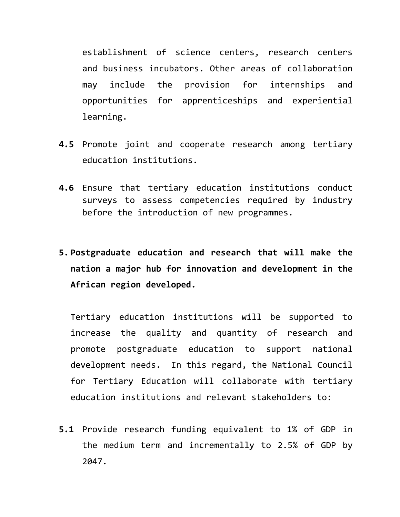establishment of science centers, research centers and business incubators. Other areas of collaboration may include the provision for internships and opportunities for apprenticeships and experiential learning.

- **4.5** Promote joint and cooperate research among tertiary education institutions.
- **4.6** Ensure that tertiary education institutions conduct surveys to assess competencies required by industry before the introduction of new programmes.
- **5. Postgraduate education and research that will make the nation a major hub for innovation and development in the African region developed.**

Tertiary education institutions will be supported to increase the quality and quantity of research and promote postgraduate education to support national development needs. In this regard, the National Council for Tertiary Education will collaborate with tertiary education institutions and relevant stakeholders to:

**5.1** Provide research funding equivalent to 1% of GDP in the medium term and incrementally to 2.5% of GDP by 2047.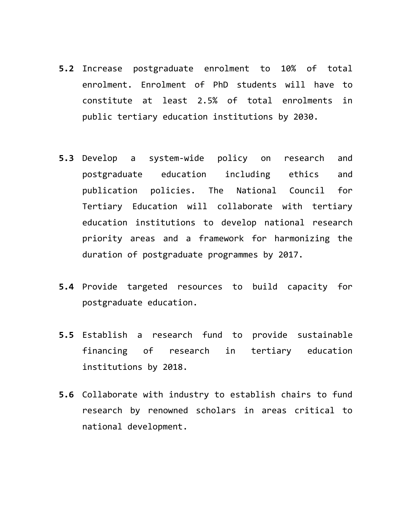- **5.2** Increase postgraduate enrolment to 10% of total enrolment. Enrolment of PhD students will have to constitute at least 2.5% of total enrolments in public tertiary education institutions by 2030.
- **5.3** Develop a system-wide policy on research and postgraduate education including ethics and publication policies. The National Council for Tertiary Education will collaborate with tertiary education institutions to develop national research priority areas and a framework for harmonizing the duration of postgraduate programmes by 2017.
- **5.4** Provide targeted resources to build capacity for postgraduate education.
- **5.5** Establish a research fund to provide sustainable financing of research in tertiary education institutions by 2018.
- **5.6** Collaborate with industry to establish chairs to fund research by renowned scholars in areas critical to national development.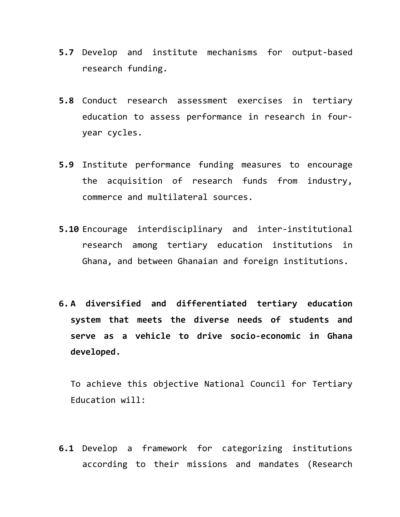- **5.7** Develop and institute mechanisms for output-based research funding.
- **5.8** Conduct research assessment exercises in tertiary education to assess performance in research in fouryear cycles.
- **5.9** Institute performance funding measures to encourage the acquisition of research funds from industry, commerce and multilateral sources.
- **5.10** Encourage interdisciplinary and inter-institutional research among tertiary education institutions in Ghana, and between Ghanaian and foreign institutions.
- **6. A diversified and differentiated tertiary education system that meets the diverse needs of students and serve as a vehicle to drive socio-economic in Ghana developed.**

To achieve this objective National Council for Tertiary Education will:

**6.1** Develop a framework for categorizing institutions according to their missions and mandates (Research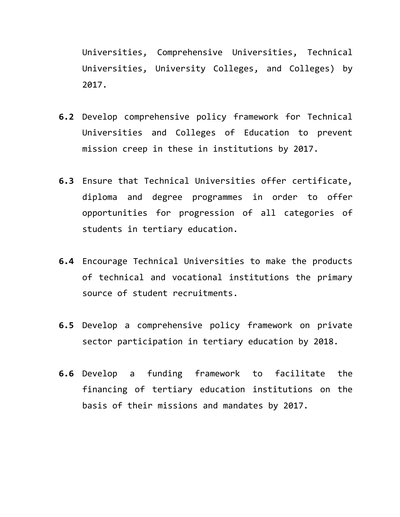Universities, Comprehensive Universities, Technical Universities, University Colleges, and Colleges) by 2017.

- **6.2** Develop comprehensive policy framework for Technical Universities and Colleges of Education to prevent mission creep in these in institutions by 2017.
- **6.3** Ensure that Technical Universities offer certificate, diploma and degree programmes in order to offer opportunities for progression of all categories of students in tertiary education.
- **6.4** Encourage Technical Universities to make the products of technical and vocational institutions the primary source of student recruitments.
- **6.5** Develop a comprehensive policy framework on private sector participation in tertiary education by 2018.
- **6.6** Develop a funding framework to facilitate the financing of tertiary education institutions on the basis of their missions and mandates by 2017.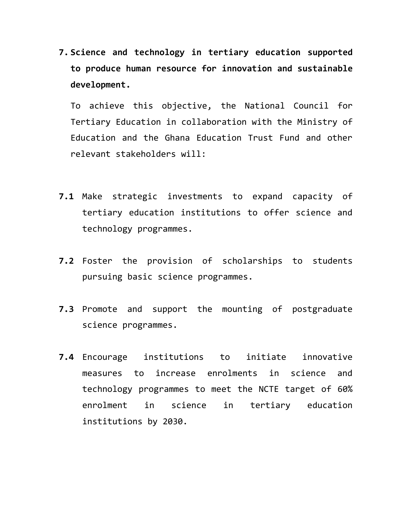**7. Science and technology in tertiary education supported to produce human resource for innovation and sustainable development.**

To achieve this objective, the National Council for Tertiary Education in collaboration with the Ministry of Education and the Ghana Education Trust Fund and other relevant stakeholders will:

- **7.1** Make strategic investments to expand capacity of tertiary education institutions to offer science and technology programmes.
- **7.2** Foster the provision of scholarships to students pursuing basic science programmes.
- **7.3** Promote and support the mounting of postgraduate science programmes.
- **7.4** Encourage institutions to initiate innovative measures to increase enrolments in science and technology programmes to meet the NCTE target of 60% enrolment in science in tertiary education institutions by 2030.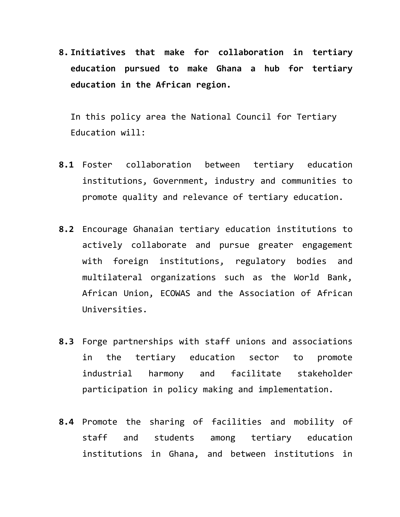**8. Initiatives that make for collaboration in tertiary education pursued to make Ghana a hub for tertiary education in the African region.** 

In this policy area the National Council for Tertiary Education will:

- **8.1** Foster collaboration between tertiary education institutions, Government, industry and communities to promote quality and relevance of tertiary education.
- **8.2** Encourage Ghanaian tertiary education institutions to actively collaborate and pursue greater engagement with foreign institutions, regulatory bodies and multilateral organizations such as the World Bank, African Union, ECOWAS and the Association of African Universities.
- **8.3** Forge partnerships with staff unions and associations in the tertiary education sector to promote industrial harmony and facilitate stakeholder participation in policy making and implementation.
- **8.4** Promote the sharing of facilities and mobility of staff and students among tertiary education institutions in Ghana, and between institutions in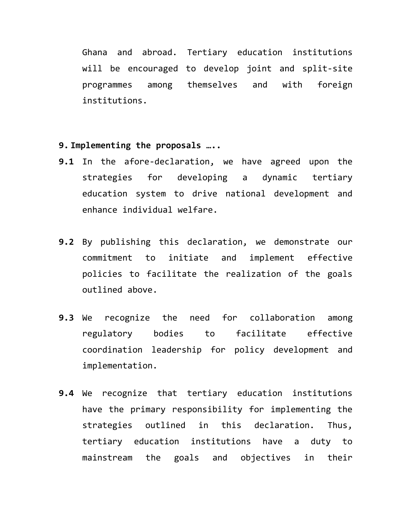Ghana and abroad. Tertiary education institutions will be encouraged to develop joint and split-site programmes among themselves and with foreign institutions.

- **9. Implementing the proposals …..**
- **9.1** In the afore-declaration, we have agreed upon the strategies for developing a dynamic tertiary education system to drive national development and enhance individual welfare.
- **9.2** By publishing this declaration, we demonstrate our commitment to initiate and implement effective policies to facilitate the realization of the goals outlined above.
- **9.3** We recognize the need for collaboration among regulatory bodies to facilitate effective coordination leadership for policy development and implementation.
- **9.4** We recognize that tertiary education institutions have the primary responsibility for implementing the strategies outlined in this declaration. Thus, tertiary education institutions have a duty to mainstream the goals and objectives in their